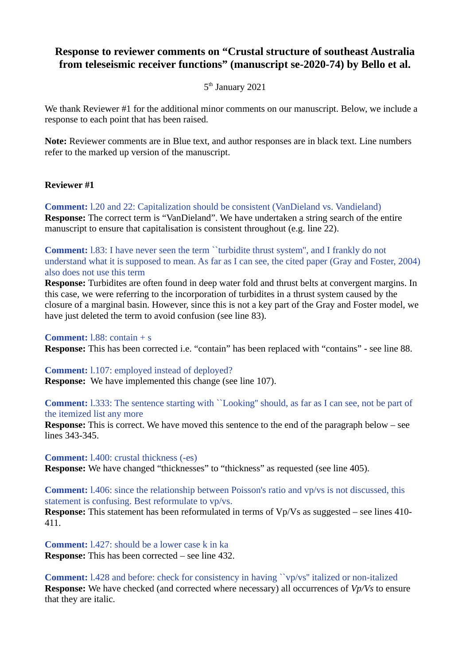# **Response to reviewer comments on "Crustal structure of southeast Australia from teleseismic receiver functions" (manuscript se-2020-74) by Bello et al.**

## 5<sup>th</sup> January 2021

We thank Reviewer #1 for the additional minor comments on our manuscript. Below, we include a response to each point that has been raised.

**Note:** Reviewer comments are in Blue text, and author responses are in black text. Line numbers refer to the marked up version of the manuscript.

### **Reviewer #1**

**Comment:** l.20 and 22: Capitalization should be consistent (VanDieland vs. Vandieland) **Response:** The correct term is "VanDieland". We have undertaken a string search of the entire manuscript to ensure that capitalisation is consistent throughout (e.g. line 22).

**Comment:** 1.83: I have never seen the term "turbidite thrust system", and I frankly do not understand what it is supposed to mean. As far as I can see, the cited paper (Gray and Foster, 2004) also does not use this term

**Response:** Turbidites are often found in deep water fold and thrust belts at convergent margins. In this case, we were referring to the incorporation of turbidites in a thrust system caused by the closure of a marginal basin. However, since this is not a key part of the Gray and Foster model, we have just deleted the term to avoid confusion (see line 83).

#### **Comment:** l.88: contain + s

**Response:** This has been corrected i.e. "contain" has been replaced with "contains" - see line 88.

### **Comment:** l.107: employed instead of deployed?

**Response:** We have implemented this change (see line 107).

**Comment:** l.333: The sentence starting with ``Looking'' should, as far as I can see, not be part of the itemized list any more

**Response:** This is correct. We have moved this sentence to the end of the paragraph below – see lines 343-345.

**Comment:** l.400: crustal thickness (-es) **Response:** We have changed "thicknesses" to "thickness" as requested (see line 405).

**Comment:** l.406: since the relationship between Poisson's ratio and vp/vs is not discussed, this statement is confusing. Best reformulate to vp/vs.

**Response:** This statement has been reformulated in terms of Vp/Vs as suggested – see lines 410-411.

**Comment:** l.427: should be a lower case k in ka **Response:** This has been corrected – see line 432.

**Comment:** l.428 and before: check for consistency in having ``vp/vs'' italized or non-italized **Response:** We have checked (and corrected where necessary) all occurrences of *Vp/Vs* to ensure that they are italic.